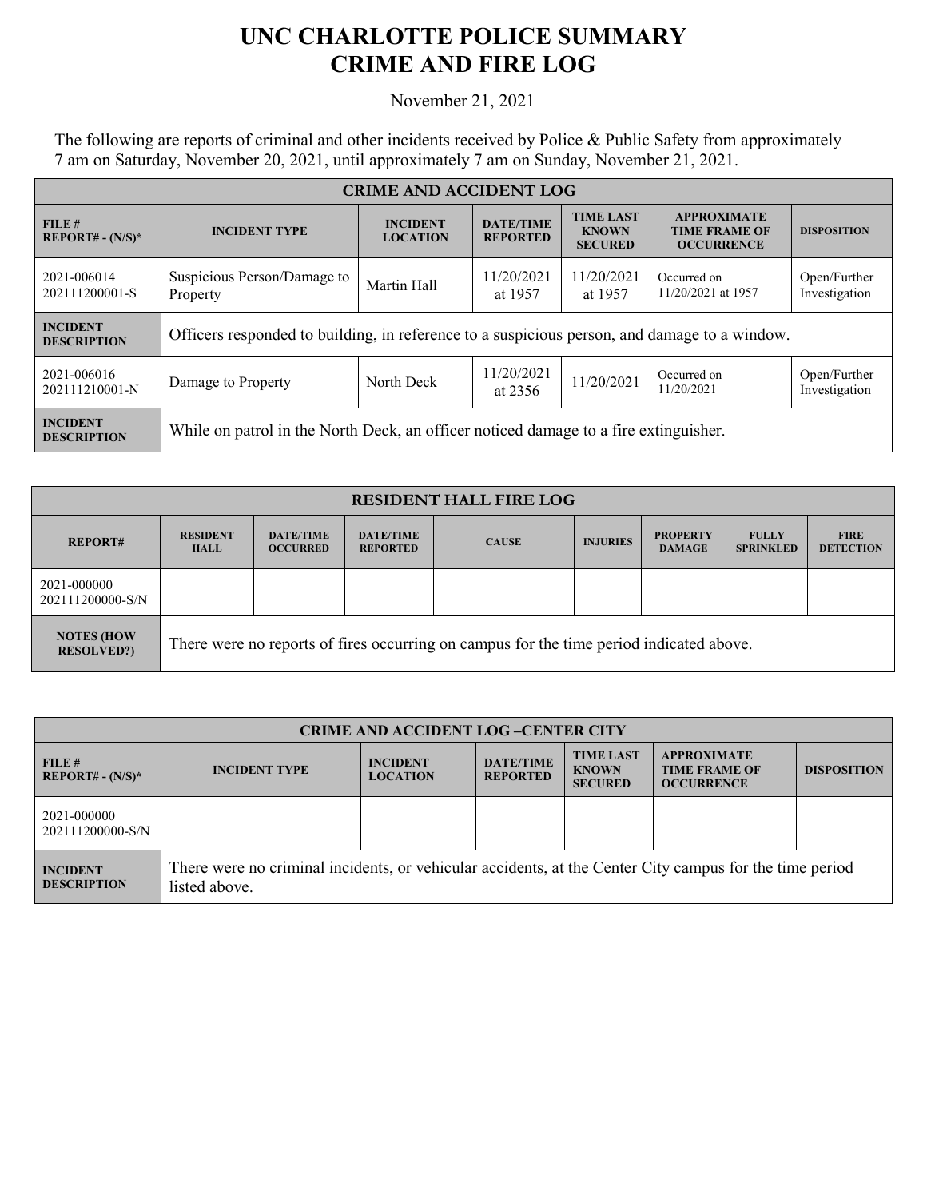## **UNC CHARLOTTE POLICE SUMMARY CRIME AND FIRE LOG**

## November 21, 2021

The following are reports of criminal and other incidents received by Police & Public Safety from approximately 7 am on Saturday, November 20, 2021, until approximately 7 am on Sunday, November 21, 2021.

| <b>CRIME AND ACCIDENT LOG</b>         |                                                                                                   |             |                                                    |                                                                 |                                   |                               |  |
|---------------------------------------|---------------------------------------------------------------------------------------------------|-------------|----------------------------------------------------|-----------------------------------------------------------------|-----------------------------------|-------------------------------|--|
| FILE #<br>$REPORT# - (N/S)*$          | <b>DATE/TIME</b><br><b>INCIDENT</b><br><b>INCIDENT TYPE</b><br><b>LOCATION</b><br><b>REPORTED</b> |             | <b>TIME LAST</b><br><b>KNOWN</b><br><b>SECURED</b> | <b>APPROXIMATE</b><br><b>TIME FRAME OF</b><br><b>OCCURRENCE</b> | <b>DISPOSITION</b>                |                               |  |
| 2021-006014<br>202111200001-S         | Suspicious Person/Damage to<br>Property                                                           | Martin Hall | 11/20/2021<br>at 1957                              | 11/20/2021<br>at 1957                                           | Occurred on<br>11/20/2021 at 1957 | Open/Further<br>Investigation |  |
| <b>INCIDENT</b><br><b>DESCRIPTION</b> | Officers responded to building, in reference to a suspicious person, and damage to a window.      |             |                                                    |                                                                 |                                   |                               |  |
| 2021-006016<br>202111210001-N         | Damage to Property                                                                                | North Deck  | 11/20/2021<br>at 2356                              | 11/20/2021                                                      | Occurred on<br>11/20/2021         | Open/Further<br>Investigation |  |
| <b>INCIDENT</b><br><b>DESCRIPTION</b> | While on patrol in the North Deck, an officer noticed damage to a fire extinguisher.              |             |                                                    |                                                                 |                                   |                               |  |

| <b>RESIDENT HALL FIRE LOG</b>          |                                                                                         |                                     |                                     |              |                 |                                  |                                  |                                 |
|----------------------------------------|-----------------------------------------------------------------------------------------|-------------------------------------|-------------------------------------|--------------|-----------------|----------------------------------|----------------------------------|---------------------------------|
| <b>REPORT#</b>                         | <b>RESIDENT</b><br><b>HALL</b>                                                          | <b>DATE/TIME</b><br><b>OCCURRED</b> | <b>DATE/TIME</b><br><b>REPORTED</b> | <b>CAUSE</b> | <b>INJURIES</b> | <b>PROPERTY</b><br><b>DAMAGE</b> | <b>FULLY</b><br><b>SPRINKLED</b> | <b>FIRE</b><br><b>DETECTION</b> |
| 2021-000000<br>202111200000-S/N        |                                                                                         |                                     |                                     |              |                 |                                  |                                  |                                 |
| <b>NOTES (HOW</b><br><b>RESOLVED?)</b> | There were no reports of fires occurring on campus for the time period indicated above. |                                     |                                     |              |                 |                                  |                                  |                                 |

| <b>CRIME AND ACCIDENT LOG-CENTER CITY</b> |                                                                                                                          |                                    |                                     |                                                    |                                                                 |                    |
|-------------------------------------------|--------------------------------------------------------------------------------------------------------------------------|------------------------------------|-------------------------------------|----------------------------------------------------|-----------------------------------------------------------------|--------------------|
| FILE#<br>$REPORT# - (N/S)*$               | <b>INCIDENT TYPE</b>                                                                                                     | <b>INCIDENT</b><br><b>LOCATION</b> | <b>DATE/TIME</b><br><b>REPORTED</b> | <b>TIME LAST</b><br><b>KNOWN</b><br><b>SECURED</b> | <b>APPROXIMATE</b><br><b>TIME FRAME OF</b><br><b>OCCURRENCE</b> | <b>DISPOSITION</b> |
| 2021-000000<br>202111200000-S/N           |                                                                                                                          |                                    |                                     |                                                    |                                                                 |                    |
| <b>INCIDENT</b><br><b>DESCRIPTION</b>     | There were no criminal incidents, or vehicular accidents, at the Center City campus for the time period<br>listed above. |                                    |                                     |                                                    |                                                                 |                    |